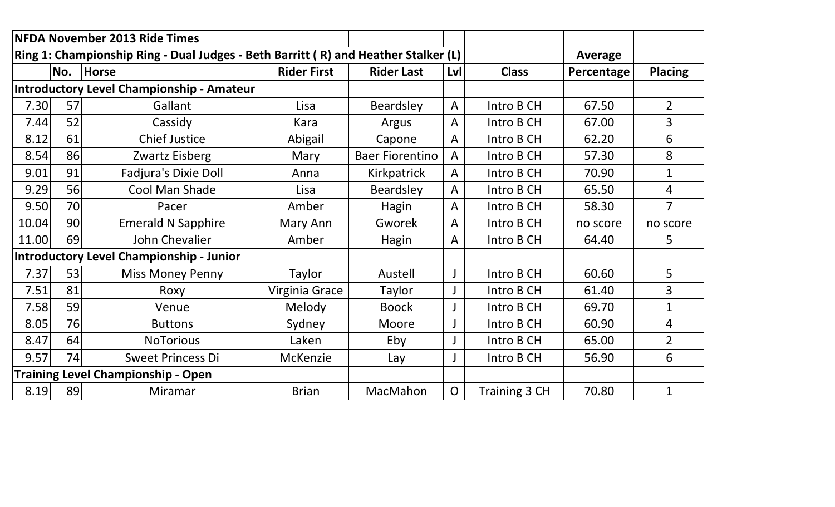|       |     | <b>NFDA November 2013 Ride Times</b>                                               |                    |                        |                |               |                |                |
|-------|-----|------------------------------------------------------------------------------------|--------------------|------------------------|----------------|---------------|----------------|----------------|
|       |     | Ring 1: Championship Ring - Dual Judges - Beth Barritt (R) and Heather Stalker (L) |                    |                        |                |               | <b>Average</b> |                |
|       | No. | Horse                                                                              | <b>Rider First</b> | <b>Rider Last</b>      | Lvl            | <b>Class</b>  | Percentage     | <b>Placing</b> |
|       |     | <b>Introductory Level Championship - Amateur</b>                                   |                    |                        |                |               |                |                |
| 7.30  | 57  | Gallant                                                                            | Lisa               | Beardsley              | $\mathsf{A}$   | Intro B CH    | 67.50          | $\overline{2}$ |
| 7.44  | 52  | Cassidy                                                                            | Kara               | Argus                  | A              | Intro B CH    | 67.00          | $\overline{3}$ |
| 8.12  | 61  | <b>Chief Justice</b>                                                               | Abigail            | Capone                 | A              | Intro B CH    | 62.20          | 6              |
| 8.54  | 86  | Zwartz Eisberg                                                                     | Mary               | <b>Baer Fiorentino</b> | A              | Intro B CH    | 57.30          | 8              |
| 9.01  | 91  | <b>Fadjura's Dixie Doll</b>                                                        | Anna               | Kirkpatrick            | A              | Intro B CH    | 70.90          | $\mathbf{1}$   |
| 9.29  | 56  | Cool Man Shade                                                                     | Lisa               | Beardsley              | $\mathsf{A}$   | Intro B CH    | 65.50          | $\overline{4}$ |
| 9.50  | 70  | Pacer                                                                              | Amber              | Hagin                  | $\mathsf{A}$   | Intro B CH    | 58.30          | $\overline{7}$ |
| 10.04 | 90  | <b>Emerald N Sapphire</b>                                                          | Mary Ann           | Gworek                 | A              | Intro B CH    | no score       | no score       |
| 11.00 | 69  | John Chevalier                                                                     | Amber              | Hagin                  | A              | Intro B CH    | 64.40          | 5              |
|       |     | <b>Introductory Level Championship - Junior</b>                                    |                    |                        |                |               |                |                |
| 7.37  | 53  | <b>Miss Money Penny</b>                                                            | Taylor             | Austell                |                | Intro B CH    | 60.60          | 5              |
| 7.51  | 81  | Roxy                                                                               | Virginia Grace     | Taylor                 |                | Intro B CH    | 61.40          | $\overline{3}$ |
| 7.58  | 59  | Venue                                                                              | Melody             | <b>Boock</b>           |                | Intro B CH    | 69.70          | $\mathbf{1}$   |
| 8.05  | 76  | <b>Buttons</b>                                                                     | Sydney             | Moore                  |                | Intro B CH    | 60.90          | 4              |
| 8.47  | 64  | <b>NoTorious</b>                                                                   | Laken              | Eby                    |                | Intro B CH    | 65.00          | $\overline{2}$ |
| 9.57  | 74  | <b>Sweet Princess Di</b>                                                           | <b>McKenzie</b>    | Lay                    |                | Intro B CH    | 56.90          | 6              |
|       |     | <b>Training Level Championship - Open</b>                                          |                    |                        |                |               |                |                |
| 8.19  | 89  | Miramar                                                                            | <b>Brian</b>       | MacMahon               | $\overline{O}$ | Training 3 CH | 70.80          | 1              |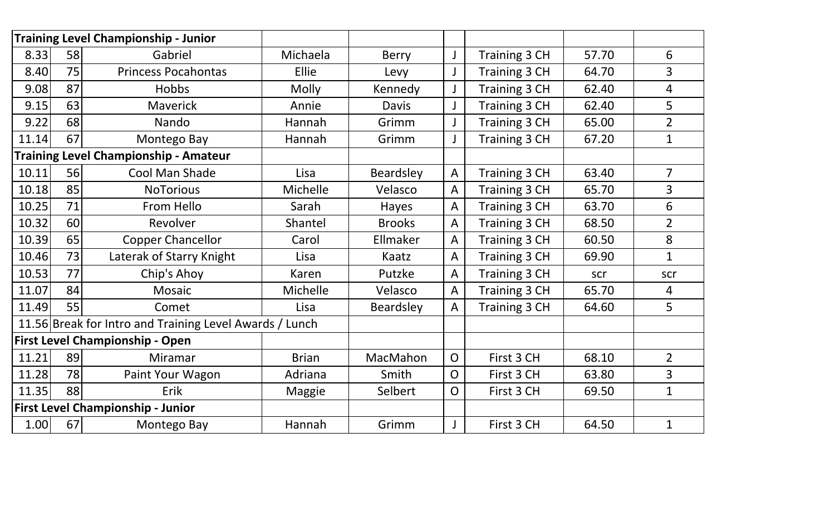|       |    | <b>Training Level Championship - Junior</b>             |               |               |                |               |       |                |
|-------|----|---------------------------------------------------------|---------------|---------------|----------------|---------------|-------|----------------|
| 8.33  | 58 | Gabriel                                                 | Michaela      | Berry         |                | Training 3 CH | 57.70 | 6              |
| 8.40  | 75 | <b>Princess Pocahontas</b>                              | Ellie         | Levy          |                | Training 3 CH | 64.70 | $\overline{3}$ |
| 9.08  | 87 | <b>Hobbs</b>                                            | Molly         | Kennedy       |                | Training 3 CH | 62.40 | $\overline{4}$ |
| 9.15  | 63 | <b>Maverick</b>                                         | Annie         | Davis         |                | Training 3 CH | 62.40 | 5              |
| 9.22  | 68 | Nando                                                   | Hannah        | Grimm         |                | Training 3 CH | 65.00 | $\overline{2}$ |
| 11.14 | 67 | Montego Bay                                             | Hannah        | Grimm         |                | Training 3 CH | 67.20 | $\mathbf{1}$   |
|       |    | <b>Training Level Championship - Amateur</b>            |               |               |                |               |       |                |
| 10.11 | 56 | Cool Man Shade                                          | Lisa          | Beardsley     | $\mathsf{A}$   | Training 3 CH | 63.40 | $\overline{7}$ |
| 10.18 | 85 | <b>NoTorious</b>                                        | Michelle      | Velasco       | A              | Training 3 CH | 65.70 | $\overline{3}$ |
| 10.25 | 71 | From Hello                                              | Sarah         | Hayes         | A              | Training 3 CH | 63.70 | 6              |
| 10.32 | 60 | Revolver                                                | Shantel       | <b>Brooks</b> | $\mathsf{A}$   | Training 3 CH | 68.50 | $\overline{2}$ |
| 10.39 | 65 | <b>Copper Chancellor</b>                                | Carol         | Ellmaker      | A              | Training 3 CH | 60.50 | 8              |
| 10.46 | 73 | Laterak of Starry Knight                                | Lisa          | Kaatz         | A              | Training 3 CH | 69.90 | $\mathbf{1}$   |
| 10.53 | 77 | Chip's Ahoy                                             | Karen         | Putzke        | A              | Training 3 CH | scr   | scr            |
| 11.07 | 84 | <b>Mosaic</b>                                           | Michelle      | Velasco       | $\mathsf{A}$   | Training 3 CH | 65.70 | 4              |
| 11.49 | 55 | Comet                                                   | Lisa          | Beardsley     | A              | Training 3 CH | 64.60 | 5              |
|       |    | 11.56 Break for Intro and Training Level Awards / Lunch |               |               |                |               |       |                |
|       |    | <b>First Level Championship - Open</b>                  |               |               |                |               |       |                |
| 11.21 | 89 | Miramar                                                 | <b>Brian</b>  | MacMahon      | $\overline{O}$ | First 3 CH    | 68.10 | $\overline{2}$ |
| 11.28 | 78 | Paint Your Wagon                                        | Adriana       | Smith         | $\overline{O}$ | First 3 CH    | 63.80 | $\overline{3}$ |
| 11.35 | 88 | Erik                                                    | <b>Maggie</b> | Selbert       | $\mathsf{O}$   | First 3 CH    | 69.50 | $\mathbf{1}$   |
|       |    | <b>First Level Championship - Junior</b>                |               |               |                |               |       |                |
| 1.00  | 67 | Montego Bay                                             | Hannah        | Grimm         |                | First 3 CH    | 64.50 | $\mathbf{1}$   |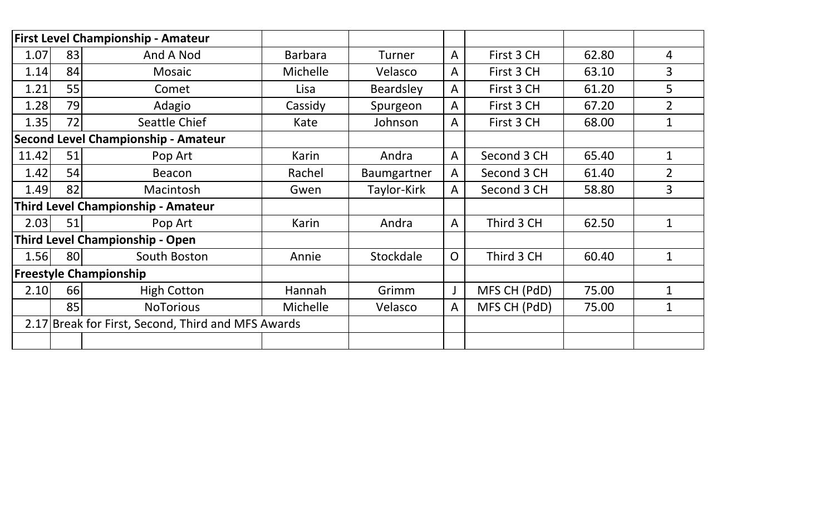|       |    | <b>First Level Championship - Amateur</b>          |                 |                  |                |              |       |                |
|-------|----|----------------------------------------------------|-----------------|------------------|----------------|--------------|-------|----------------|
| 1.07  | 83 | And A Nod                                          | <b>Barbara</b>  | Turner           | $\overline{A}$ | First 3 CH   | 62.80 | 4              |
| 1.14  | 84 | Mosaic                                             | <b>Michelle</b> | Velasco          | A              | First 3 CH   | 63.10 | 3              |
| 1.21  | 55 | Comet                                              | Lisa            | <b>Beardsley</b> | A              | First 3 CH   | 61.20 | 5              |
| 1.28  | 79 | Adagio                                             | Cassidy         | Spurgeon         | A              | First 3 CH   | 67.20 | $\overline{2}$ |
| 1.35  | 72 | Seattle Chief                                      | Kate            | Johnson          | Α              | First 3 CH   | 68.00 | 1              |
|       |    | <b>Second Level Championship - Amateur</b>         |                 |                  |                |              |       |                |
| 11.42 | 51 | Pop Art                                            | Karin           | Andra            | A              | Second 3 CH  | 65.40 | $\mathbf 1$    |
| 1.42  | 54 | <b>Beacon</b>                                      | Rachel          | Baumgartner      | A              | Second 3 CH  | 61.40 | $\overline{2}$ |
| 1.49  | 82 | Macintosh                                          | Gwen            | Taylor-Kirk      | A              | Second 3 CH  | 58.80 | 3              |
|       |    | <b>Third Level Championship - Amateur</b>          |                 |                  |                |              |       |                |
| 2.03  | 51 | Pop Art                                            | Karin           | Andra            | $\mathsf{A}$   | Third 3 CH   | 62.50 | $\mathbf 1$    |
|       |    | <b>Third Level Championship - Open</b>             |                 |                  |                |              |       |                |
| 1.56  | 80 | South Boston                                       | Annie           | Stockdale        | $\overline{O}$ | Third 3 CH   | 60.40 | $\mathbf 1$    |
|       |    | <b>Freestyle Championship</b>                      |                 |                  |                |              |       |                |
| 2.10  | 66 | <b>High Cotton</b>                                 | Hannah          | Grimm            | J              | MFS CH (PdD) | 75.00 | $\overline{1}$ |
|       | 85 | <b>NoTorious</b>                                   | <b>Michelle</b> | Velasco          | A              | MFS CH (PdD) | 75.00 | 1              |
|       |    | 2.17 Break for First, Second, Third and MFS Awards |                 |                  |                |              |       |                |
|       |    |                                                    |                 |                  |                |              |       |                |
|       |    |                                                    |                 |                  |                |              |       |                |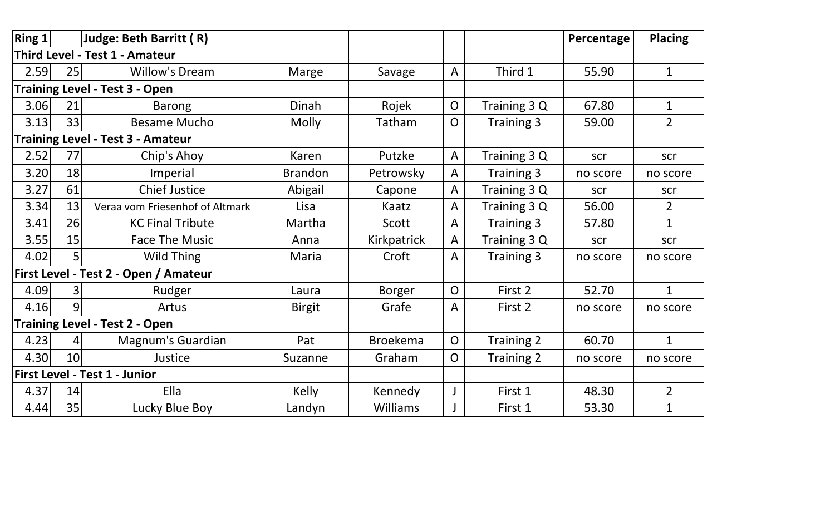| $\vert$ Ring 1 $\vert$ |    | Judge: Beth Barritt (R)                  |                |                 |                |                   | Percentage | <b>Placing</b> |
|------------------------|----|------------------------------------------|----------------|-----------------|----------------|-------------------|------------|----------------|
|                        |    | Third Level - Test 1 - Amateur           |                |                 |                |                   |            |                |
| 2.59                   | 25 | <b>Willow's Dream</b>                    | Marge          | Savage          | $\mathsf{A}$   | Third 1           | 55.90      | $\mathbf{1}$   |
|                        |    | <b>Training Level - Test 3 - Open</b>    |                |                 |                |                   |            |                |
| 3.06                   | 21 | <b>Barong</b>                            | Dinah          | Rojek           | $\overline{O}$ | Training 3 Q      | 67.80      | $\mathbf 1$    |
| 3.13                   | 33 | <b>Besame Mucho</b>                      | <b>Molly</b>   | Tatham          | O              | Training 3        | 59.00      | $\overline{2}$ |
|                        |    | <b>Training Level - Test 3 - Amateur</b> |                |                 |                |                   |            |                |
| 2.52                   | 77 | Chip's Ahoy                              | Karen          | Putzke          | A              | Training 3 Q      | scr        | scr            |
| 3.20                   | 18 | Imperial                                 | <b>Brandon</b> | Petrowsky       | A              | Training 3        | no score   | no score       |
| 3.27                   | 61 | <b>Chief Justice</b>                     | Abigail        | Capone          | Α              | Training 3 Q      | scr        | scr            |
| 3.34                   | 13 | Veraa vom Friesenhof of Altmark          | Lisa           | Kaatz           | A              | Training 3 Q      | 56.00      | $\overline{2}$ |
| 3.41                   | 26 | <b>KC Final Tribute</b>                  | Martha         | Scott           | A              | Training 3        | 57.80      | $\mathbf{1}$   |
| 3.55                   | 15 | <b>Face The Music</b>                    | Anna           | Kirkpatrick     | Α              | Training 3 Q      | scr        | scr            |
| 4.02                   | 5  | Wild Thing                               | Maria          | Croft           | Α              | Training 3        | no score   | no score       |
|                        |    | First Level - Test 2 - Open / Amateur    |                |                 |                |                   |            |                |
| 4.09                   | 3  | Rudger                                   | Laura          | <b>Borger</b>   | O              | First 2           | 52.70      | $\mathbf{1}$   |
| 4.16                   | 9  | Artus                                    | <b>Birgit</b>  | Grafe           | A              | First 2           | no score   | no score       |
|                        |    | <b>Training Level - Test 2 - Open</b>    |                |                 |                |                   |            |                |
| 4.23                   | 41 | Magnum's Guardian                        | Pat            | <b>Broekema</b> | $\overline{O}$ | Training 2        | 60.70      | $\mathbf{1}$   |
| 4.30                   | 10 | Justice                                  | Suzanne        | Graham          | O              | <b>Training 2</b> | no score   | no score       |
|                        |    | <b>First Level - Test 1 - Junior</b>     |                |                 |                |                   |            |                |
| 4.37                   | 14 | Ella                                     | <b>Kelly</b>   | Kennedy         |                | First 1           | 48.30      | $\overline{2}$ |
| 4.44                   | 35 | Lucky Blue Boy                           | Landyn         | <b>Williams</b> |                | First 1           | 53.30      | $\mathbf{1}$   |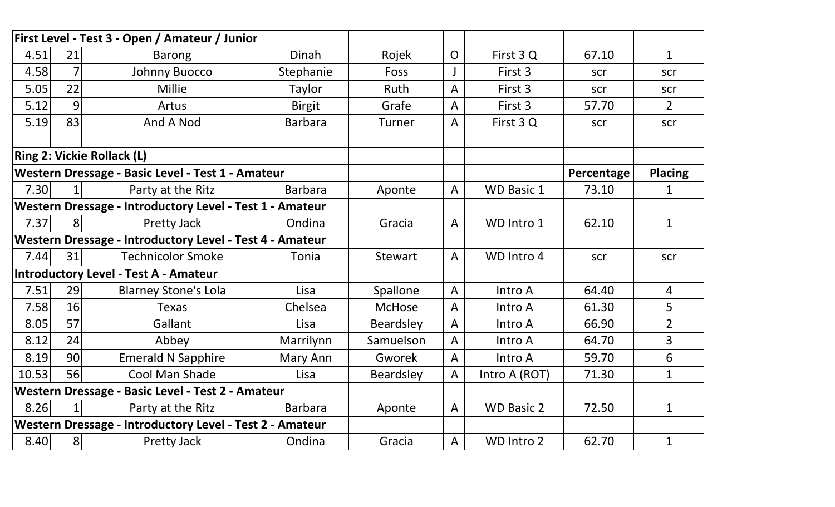|       |                | First Level - Test 3 - Open / Amateur / Junior                  |                |                  |                |                   |            |                |
|-------|----------------|-----------------------------------------------------------------|----------------|------------------|----------------|-------------------|------------|----------------|
| 4.51  | 21             | <b>Barong</b>                                                   | Dinah          | Rojek            | $\overline{O}$ | First 3Q          | 67.10      | $\mathbf{1}$   |
| 4.58  | 7              | Johnny Buocco                                                   | Stephanie      | Foss             |                | First 3           | scr        | scr            |
| 5.05  | 22             | <b>Millie</b>                                                   | Taylor         | Ruth             | A              | First 3           | scr        | scr            |
| 5.12  | 9              | Artus                                                           | <b>Birgit</b>  | Grafe            | A              | First 3           | 57.70      | $2^{\circ}$    |
| 5.19  | 83             | And A Nod                                                       | <b>Barbara</b> | <b>Turner</b>    | A              | First 3Q          | scr        | scr            |
|       |                |                                                                 |                |                  |                |                   |            |                |
|       |                | <b>Ring 2: Vickie Rollack (L)</b>                               |                |                  |                |                   |            |                |
|       |                | Western Dressage - Basic Level - Test 1 - Amateur               |                |                  |                |                   | Percentage | <b>Placing</b> |
| 7.30  | 1 <sup>1</sup> | Party at the Ritz                                               | <b>Barbara</b> | Aponte           | A              | <b>WD Basic 1</b> | 73.10      | 1              |
|       |                | <b>Western Dressage - Introductory Level - Test 1 - Amateur</b> |                |                  |                |                   |            |                |
| 7.37  | 8 <sup>1</sup> | Pretty Jack                                                     | Ondina         | Gracia           | $\mathsf{A}$   | WD Intro 1        | 62.10      | $\mathbf{1}$   |
|       |                | Western Dressage - Introductory Level - Test 4 - Amateur        |                |                  |                |                   |            |                |
| 7.44  | 31             | <b>Technicolor Smoke</b>                                        | Tonia          | <b>Stewart</b>   | $\mathsf{A}$   | WD Intro 4        | scr        | scr            |
|       |                | <b>Introductory Level - Test A - Amateur</b>                    |                |                  |                |                   |            |                |
| 7.51  | 29             | <b>Blarney Stone's Lola</b>                                     | Lisa           | Spallone         | A              | Intro A           | 64.40      | 4              |
| 7.58  | 16             | <b>Texas</b>                                                    | Chelsea        | <b>McHose</b>    | A              | Intro A           | 61.30      | 5              |
| 8.05  | 57             | Gallant                                                         | Lisa           | <b>Beardsley</b> | A              | Intro A           | 66.90      | $\overline{2}$ |
| 8.12  | 24             | Abbey                                                           | Marrilynn      | Samuelson        | A              | Intro A           | 64.70      | $\overline{3}$ |
| 8.19  | 90             | <b>Emerald N Sapphire</b>                                       | Mary Ann       | <b>Gworek</b>    | A              | Intro A           | 59.70      | 6              |
| 10.53 | 56             | Cool Man Shade                                                  | Lisa           | <b>Beardsley</b> | A              | Intro A (ROT)     | 71.30      | $\mathbf{1}$   |
|       |                | Western Dressage - Basic Level - Test 2 - Amateur               |                |                  |                |                   |            |                |
| 8.26  | $1\vert$       | Party at the Ritz                                               | <b>Barbara</b> | Aponte           | $\mathsf{A}$   | <b>WD Basic 2</b> | 72.50      | $\mathbf{1}$   |
|       |                | Western Dressage - Introductory Level - Test 2 - Amateur        |                |                  |                |                   |            |                |
| 8.40  | 8 <sup>1</sup> | Pretty Jack                                                     | Ondina         | Gracia           | A              | WD Intro 2        | 62.70      | $\mathbf{1}$   |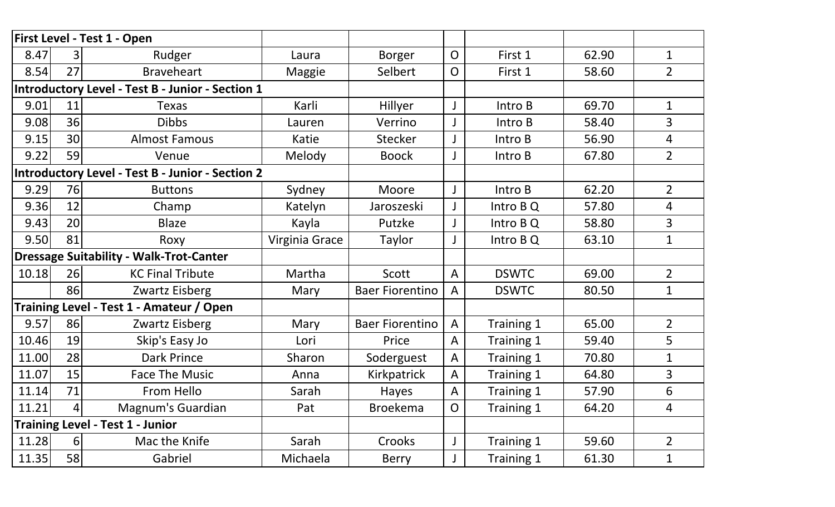|       |                | First Level - Test 1 - Open                      |                |                        |                |              |       |                |
|-------|----------------|--------------------------------------------------|----------------|------------------------|----------------|--------------|-------|----------------|
| 8.47  |                | Rudger                                           | Laura          | <b>Borger</b>          | $\mathsf{O}$   | First 1      | 62.90 | $\mathbf{1}$   |
| 8.54  | 27             | <b>Braveheart</b>                                | Maggie         | Selbert                | $\overline{O}$ | First 1      | 58.60 | $\overline{2}$ |
|       |                | Introductory Level - Test B - Junior - Section 1 |                |                        |                |              |       |                |
| 9.01  | 11             | <b>Texas</b>                                     | Karli          | Hillyer                |                | Intro B      | 69.70 | $\mathbf{1}$   |
| 9.08  | 36             | <b>Dibbs</b>                                     | Lauren         | Verrino                |                | Intro B      | 58.40 | $\overline{3}$ |
| 9.15  | 30             | <b>Almost Famous</b>                             | Katie          | <b>Stecker</b>         |                | Intro B      | 56.90 | $\overline{4}$ |
| 9.22  | 59             | Venue                                            | Melody         | <b>Boock</b>           |                | Intro B      | 67.80 | $\overline{2}$ |
|       |                | Introductory Level - Test B - Junior - Section 2 |                |                        |                |              |       |                |
| 9.29  | 76             | <b>Buttons</b>                                   | Sydney         | Moore                  |                | Intro B      | 62.20 | $\overline{2}$ |
| 9.36  | 12             | Champ                                            | Katelyn        | Jaroszeski             |                | Intro B Q    | 57.80 | 4              |
| 9.43  | 20             | <b>Blaze</b>                                     | Kayla          | Putzke                 |                | Intro B Q    | 58.80 | $\overline{3}$ |
| 9.50  | 81             | Roxy                                             | Virginia Grace | Taylor                 |                | Intro B Q    | 63.10 | $\mathbf 1$    |
|       |                | <b>Dressage Suitability - Walk-Trot-Canter</b>   |                |                        |                |              |       |                |
| 10.18 | 26             | <b>KC Final Tribute</b>                          | Martha         | Scott                  | A              | <b>DSWTC</b> | 69.00 | $\overline{2}$ |
|       | 86             | Zwartz Eisberg                                   | Mary           | <b>Baer Fiorentino</b> | A              | <b>DSWTC</b> | 80.50 | $\mathbf{1}$   |
|       |                | Training Level - Test 1 - Amateur / Open         |                |                        |                |              |       |                |
| 9.57  | 86             | Zwartz Eisberg                                   | Mary           | <b>Baer Fiorentino</b> | A              | Training 1   | 65.00 | $\overline{2}$ |
| 10.46 | 19             | Skip's Easy Jo                                   | Lori           | Price                  | A              | Training 1   | 59.40 | 5              |
| 11.00 | 28             | <b>Dark Prince</b>                               | Sharon         | Soderguest             | A              | Training 1   | 70.80 | 1              |
| 11.07 | 15             | <b>Face The Music</b>                            | Anna           | Kirkpatrick            | A              | Training 1   | 64.80 | $\overline{3}$ |
| 11.14 | 71             | From Hello                                       | Sarah          | Hayes                  | A              | Training 1   | 57.90 | 6              |
| 11.21 | 4              | Magnum's Guardian                                | Pat            | <b>Broekema</b>        | $\overline{O}$ | Training 1   | 64.20 | 4              |
|       |                | <b>Training Level - Test 1 - Junior</b>          |                |                        |                |              |       |                |
| 11.28 | 6 <sup>1</sup> | Mac the Knife                                    | Sarah          | Crooks                 |                | Training 1   | 59.60 | $\overline{2}$ |
| 11.35 | 58             | Gabriel                                          | Michaela       | Berry                  |                | Training 1   | 61.30 | 1              |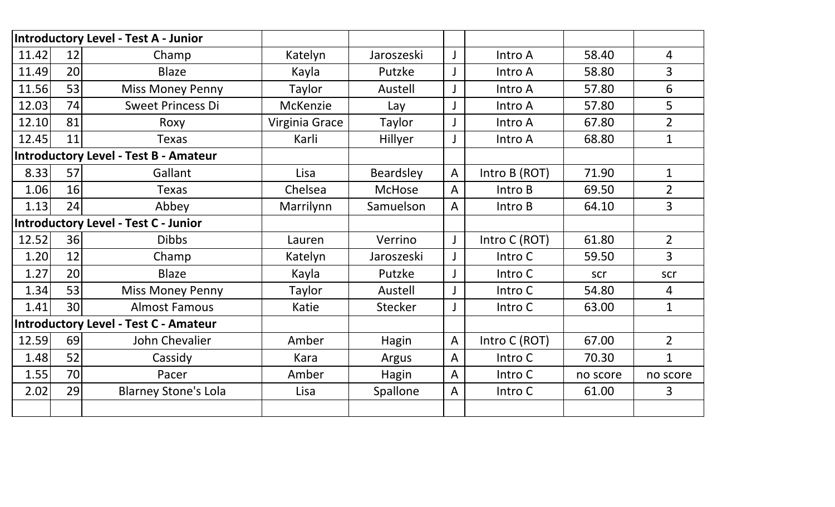|       |    | <b>Introductory Level - Test A - Junior</b>  |                |               |              |               |          |                |
|-------|----|----------------------------------------------|----------------|---------------|--------------|---------------|----------|----------------|
| 11.42 | 12 | Champ                                        | Katelyn        | Jaroszeski    |              | Intro A       | 58.40    | $\overline{4}$ |
| 11.49 | 20 | <b>Blaze</b>                                 | Kayla          | Putzke        |              | Intro A       | 58.80    | $\overline{3}$ |
| 11.56 | 53 | <b>Miss Money Penny</b>                      | Taylor         | Austell       |              | Intro A       | 57.80    | 6              |
| 12.03 | 74 | <b>Sweet Princess Di</b>                     | McKenzie       | Lay           |              | Intro A       | 57.80    | 5 <sup>5</sup> |
| 12.10 | 81 | Roxy                                         | Virginia Grace | Taylor        |              | Intro A       | 67.80    | $\overline{2}$ |
| 12.45 | 11 | <b>Texas</b>                                 | Karli          | Hillyer       |              | Intro A       | 68.80    | $\mathbf 1$    |
|       |    | <b>Introductory Level - Test B - Amateur</b> |                |               |              |               |          |                |
| 8.33  | 57 | Gallant                                      | Lisa           | Beardsley     | A            | Intro B (ROT) | 71.90    | $\mathbf{1}$   |
| 1.06  | 16 | <b>Texas</b>                                 | Chelsea        | <b>McHose</b> | A            | Intro B       | 69.50    | $\overline{2}$ |
| 1.13  | 24 | Abbey                                        | Marrilynn      | Samuelson     | A            | Intro B       | 64.10    | $\overline{3}$ |
|       |    | <b>Introductory Level - Test C - Junior</b>  |                |               |              |               |          |                |
| 12.52 | 36 | <b>Dibbs</b>                                 | Lauren         | Verrino       |              | Intro C (ROT) | 61.80    | $2^{\circ}$    |
| 1.20  | 12 | Champ                                        | Katelyn        | Jaroszeski    |              | Intro C       | 59.50    | $\overline{3}$ |
| 1.27  | 20 | <b>Blaze</b>                                 | Kayla          | Putzke        |              | Intro C       | scr      | scr            |
| 1.34  | 53 | <b>Miss Money Penny</b>                      | Taylor         | Austell       |              | Intro C       | 54.80    | $\overline{4}$ |
| 1.41  | 30 | <b>Almost Famous</b>                         | Katie          | Stecker       |              | Intro C       | 63.00    | $\mathbf{1}$   |
|       |    | <b>Introductory Level - Test C - Amateur</b> |                |               |              |               |          |                |
| 12.59 | 69 | John Chevalier                               | Amber          | Hagin         | A            | Intro C (ROT) | 67.00    | $\overline{2}$ |
| 1.48  | 52 | Cassidy                                      | Kara           | Argus         | $\mathsf{A}$ | Intro C       | 70.30    | $\mathbf{1}$   |
| 1.55  | 70 | Pacer                                        | Amber          | Hagin         | A            | Intro C       | no score | no score       |
| 2.02  | 29 | <b>Blarney Stone's Lola</b>                  | Lisa           | Spallone      | A            | Intro C       | 61.00    | $\overline{3}$ |
|       |    |                                              |                |               |              |               |          |                |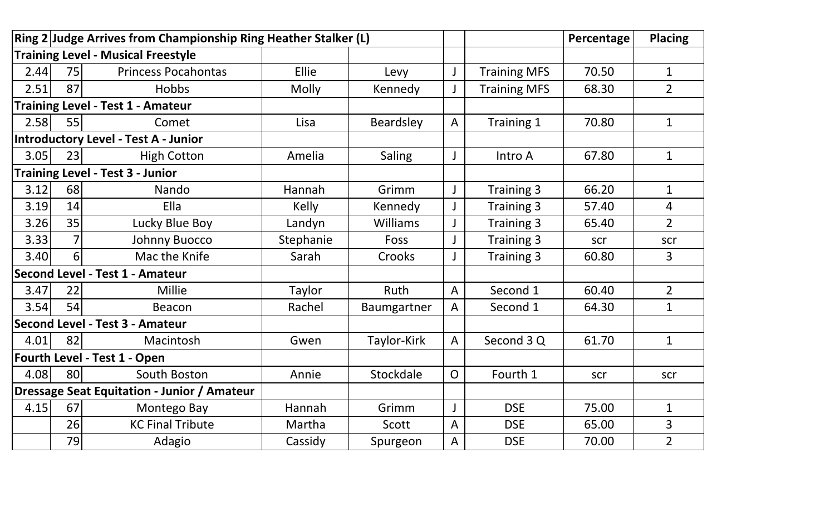|      |                | Ring 2 Judge Arrives from Championship Ring Heather Stalker (L) |              |               |              |                     | Percentage | <b>Placing</b> |
|------|----------------|-----------------------------------------------------------------|--------------|---------------|--------------|---------------------|------------|----------------|
|      |                | <b>Training Level - Musical Freestyle</b>                       |              |               |              |                     |            |                |
| 2.44 | 75             | <b>Princess Pocahontas</b>                                      | Ellie        | Levy          |              | <b>Training MFS</b> | 70.50      | $\mathbf{1}$   |
| 2.51 | 87             | <b>Hobbs</b>                                                    | <b>Molly</b> | Kennedy       |              | <b>Training MFS</b> | 68.30      | $\overline{2}$ |
|      |                | <b>Training Level - Test 1 - Amateur</b>                        |              |               |              |                     |            |                |
| 2.58 | 55             | Comet                                                           | Lisa         | Beardsley     | $\mathsf{A}$ | Training 1          | 70.80      | $\mathbf{1}$   |
|      |                | Introductory Level - Test A - Junior                            |              |               |              |                     |            |                |
| 3.05 | 23             | <b>High Cotton</b>                                              | Amelia       | <b>Saling</b> |              | Intro A             | 67.80      | $\mathbf{1}$   |
|      |                | <b>Training Level - Test 3 - Junior</b>                         |              |               |              |                     |            |                |
| 3.12 | 68             | Nando                                                           | Hannah       | Grimm         |              | Training 3          | 66.20      | $\mathbf{1}$   |
| 3.19 | 14             | Ella                                                            | Kelly        | Kennedy       |              | Training 3          | 57.40      | 4              |
| 3.26 | 35             | Lucky Blue Boy                                                  | Landyn       | Williams      |              | Training 3          | 65.40      | $\overline{2}$ |
| 3.33 | 7              | <b>Johnny Buocco</b>                                            | Stephanie    | Foss          |              | Training 3          | scr        | scr            |
| 3.40 | 6 <sup>1</sup> | Mac the Knife                                                   | Sarah        | Crooks        |              | Training 3          | 60.80      | $\overline{3}$ |
|      |                | <b>Second Level - Test 1 - Amateur</b>                          |              |               |              |                     |            |                |
| 3.47 | 22             | Millie                                                          | Taylor       | <b>Ruth</b>   | $\mathsf{A}$ | Second 1            | 60.40      | $\overline{2}$ |
| 3.54 | 54             | Beacon                                                          | Rachel       | Baumgartner   | A            | Second 1            | 64.30      | $\mathbf{1}$   |
|      |                | <b>Second Level - Test 3 - Amateur</b>                          |              |               |              |                     |            |                |
| 4.01 | 82             | Macintosh                                                       | Gwen         | Taylor-Kirk   | $\mathsf{A}$ | Second 3 Q          | 61.70      | $\mathbf{1}$   |
|      |                | Fourth Level - Test 1 - Open                                    |              |               |              |                     |            |                |
| 4.08 | 80             | South Boston                                                    | Annie        | Stockdale     | O            | Fourth 1            | scr        | scr            |
|      |                | <b>Dressage Seat Equitation - Junior / Amateur</b>              |              |               |              |                     |            |                |
| 4.15 | 67             | Montego Bay                                                     | Hannah       | Grimm         |              | <b>DSE</b>          | 75.00      | $\mathbf{1}$   |
|      | 26             | <b>KC Final Tribute</b>                                         | Martha       | Scott         | A            | <b>DSE</b>          | 65.00      | 3              |
|      | 79             | Adagio                                                          | Cassidy      | Spurgeon      | A            | <b>DSE</b>          | 70.00      | $\overline{2}$ |